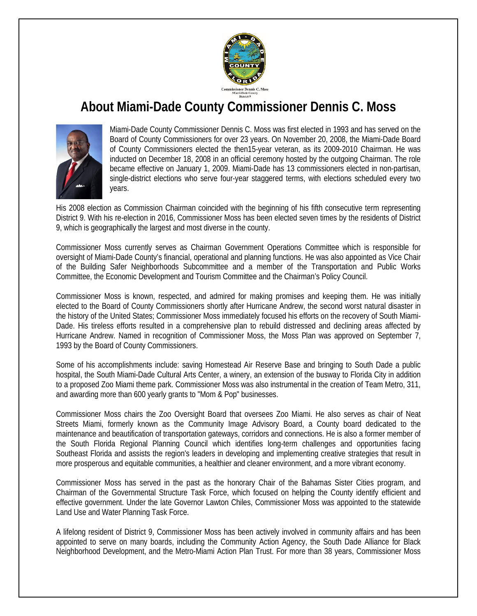

## **About Miami-Dade County Commissioner Dennis C. Moss**



Miami-Dade County Commissioner Dennis C. Moss was first elected in 1993 and has served on the Board of County Commissioners for over 23 years. On November 20, 2008, the Miami-Dade Board of County Commissioners elected the then15-year veteran, as its 2009-2010 Chairman. He was inducted on December 18, 2008 in an official ceremony hosted by the outgoing Chairman. The role became effective on January 1, 2009. Miami-Dade has 13 commissioners elected in non-partisan, single-district elections who serve four-year staggered terms, with elections scheduled every two years.

His 2008 election as Commission Chairman coincided with the beginning of his fifth consecutive term representing District 9. With his re-election in 2016, Commissioner Moss has been elected seven times by the residents of District 9, which is geographically the largest and most diverse in the county.

Commissioner Moss currently serves as Chairman Government Operations Committee which is responsible for oversight of Miami-Dade County's financial, operational and planning functions. He was also appointed as Vice Chair of the Building Safer Neighborhoods Subcommittee and a member of the Transportation and Public Works Committee, the Economic Development and Tourism Committee and the Chairman's Policy Council.

Commissioner Moss is known, respected, and admired for making promises and keeping them. He was initially elected to the Board of County Commissioners shortly after Hurricane Andrew, the second worst natural disaster in the history of the United States; Commissioner Moss immediately focused his efforts on the recovery of South Miami-Dade. His tireless efforts resulted in a comprehensive plan to rebuild distressed and declining areas affected by Hurricane Andrew. Named in recognition of Commissioner Moss, the Moss Plan was approved on September 7, 1993 by the Board of County Commissioners.

Some of his accomplishments include: saving Homestead Air Reserve Base and bringing to South Dade a public hospital, the South Miami-Dade Cultural Arts Center, a winery, an extension of the busway to Florida City in addition to a proposed Zoo Miami theme park. Commissioner Moss was also instrumental in the creation of Team Metro, 311, and awarding more than 600 yearly grants to "Mom & Pop" businesses.

Commissioner Moss chairs the Zoo Oversight Board that oversees Zoo Miami. He also serves as chair of Neat Streets Miami, formerly known as the Community Image Advisory Board, a County board dedicated to the maintenance and beautification of transportation gateways, corridors and connections. He is also a former member of the South Florida Regional Planning Council which identifies long-term challenges and opportunities facing Southeast Florida and assists the region's leaders in developing and implementing creative strategies that result in more prosperous and equitable communities, a healthier and cleaner environment, and a more vibrant economy.

Commissioner Moss has served in the past as the honorary Chair of the Bahamas Sister Cities program, and Chairman of the Governmental Structure Task Force, which focused on helping the County identify efficient and effective government. Under the late Governor Lawton Chiles, Commissioner Moss was appointed to the statewide Land Use and Water Planning Task Force.

A lifelong resident of District 9, Commissioner Moss has been actively involved in community affairs and has been appointed to serve on many boards, including the Community Action Agency, the South Dade Alliance for Black Neighborhood Development, and the Metro-Miami Action Plan Trust. For more than 38 years, Commissioner Moss